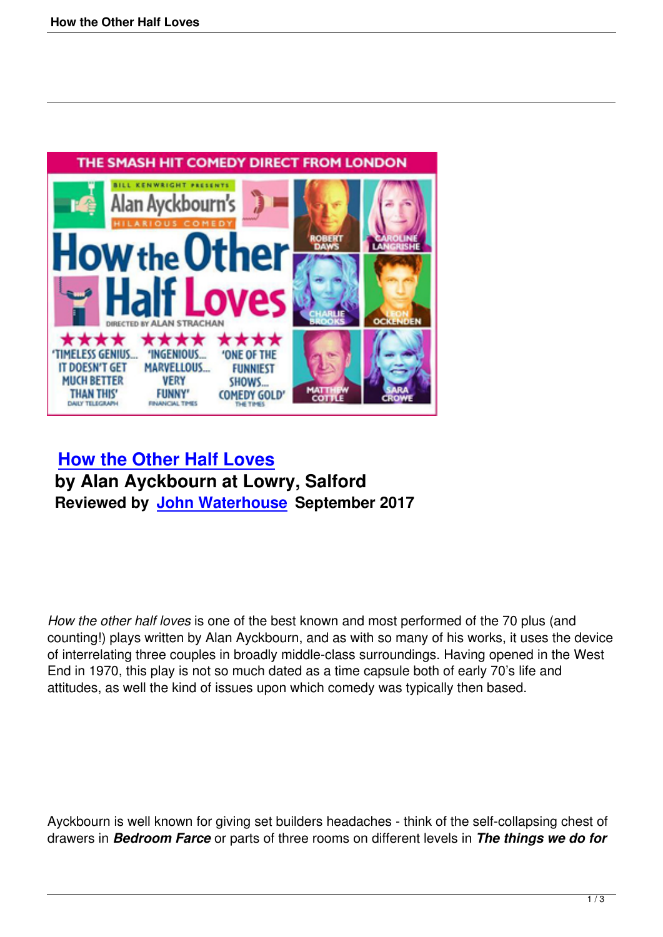

## **How the Other Half Loves by Alan Ayckbourn at Lowry, Salford [Reviewed by John Waterhous](how-the-other-half-loves.html)e September 2017**

*How the other half loves* is one of the best known and most performed of the 70 plus (and counting!) plays written by Alan Ayckbourn, and as with so many of his works, it uses the device of interrelating three couples in broadly middle-class surroundings. Having opened in the West End in 1970, this play is not so much dated as a time capsule both of early 70's life and attitudes, as well the kind of issues upon which comedy was typically then based.

Ayckbourn is well known for giving set builders headaches - think of the self-collapsing chest of drawers in *Bedroom Farce* or parts of three rooms on different levels in *The things we do for*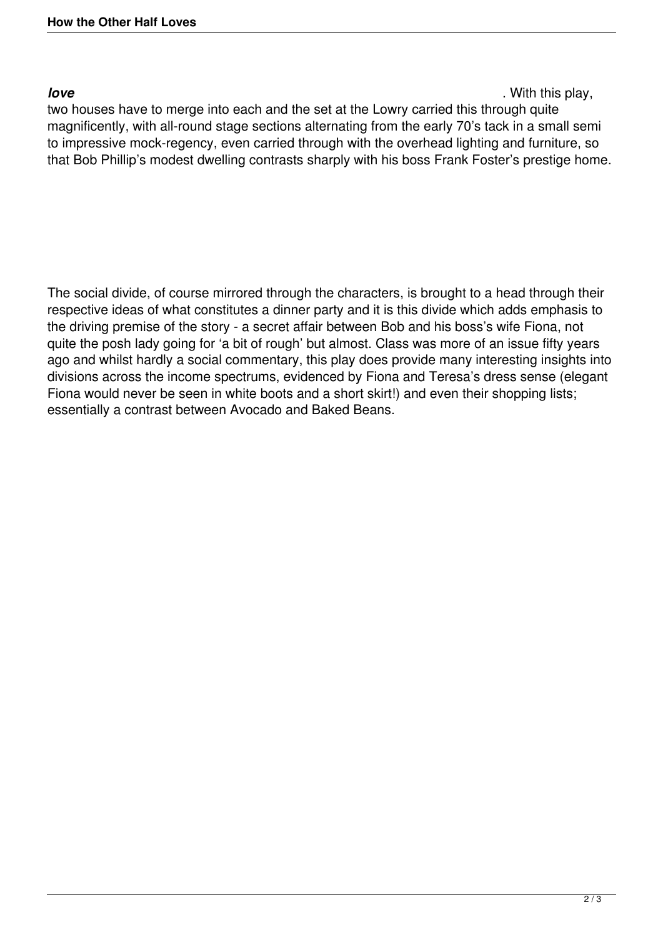*love* . With this play,

two houses have to merge into each and the set at the Lowry carried this through quite magnificently, with all-round stage sections alternating from the early 70's tack in a small semi to impressive mock-regency, even carried through with the overhead lighting and furniture, so that Bob Phillip's modest dwelling contrasts sharply with his boss Frank Foster's prestige home.

The social divide, of course mirrored through the characters, is brought to a head through their respective ideas of what constitutes a dinner party and it is this divide which adds emphasis to the driving premise of the story - a secret affair between Bob and his boss's wife Fiona, not quite the posh lady going for 'a bit of rough' but almost. Class was more of an issue fifty years ago and whilst hardly a social commentary, this play does provide many interesting insights into divisions across the income spectrums, evidenced by Fiona and Teresa's dress sense (elegant Fiona would never be seen in white boots and a short skirt!) and even their shopping lists; essentially a contrast between Avocado and Baked Beans.